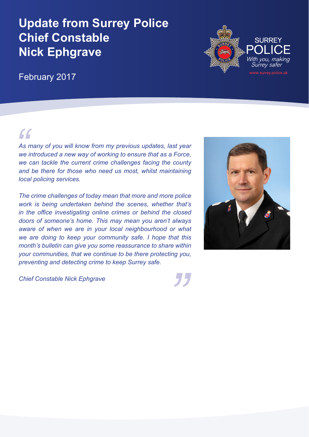# **Update from Surrey Police Chief Constable Nick Ephgrave**

## February 2017

# *"*

*As many of you will know from my previous updates, last year we introduced a new way of working to ensure that as a Force, we can tackle the current crime challenges facing the county and be there for those who need us most, whilst maintaining local policing services.* 

*The crime challenges of today mean that more and more police work is being undertaken behind the scenes, whether that's in the office investigating online crimes or behind the closed doors of someone's home. This may mean you aren't always aware of when we are in your local neighbourhood or what we are doing to keep your community safe. I hope that this month's bulletin can give you some reassurance to share within your communities, that we continue to be there protecting you, preventing and detecting crime to keep Surrey safe.* 

*Chief Constable Nick Ephgrave*





*"*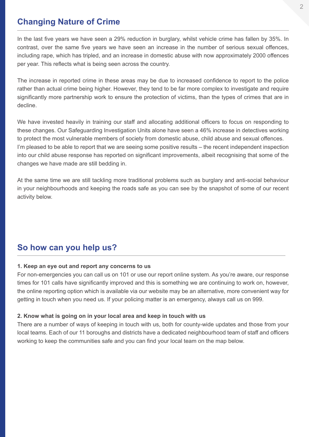## **Changing Nature of Crime**

In the last five years we have seen a 29% reduction in burglary, whilst vehicle crime has fallen by 35%. In contrast, over the same five years we have seen an increase in the number of serious sexual offences, including rape, which has tripled, and an increase in domestic abuse with now approximately 2000 offences per year. This reflects what is being seen across the country.

The increase in reported crime in these areas may be due to increased confidence to report to the police rather than actual crime being higher. However, they tend to be far more complex to investigate and require significantly more partnership work to ensure the protection of victims, than the types of crimes that are in decline.

We have invested heavily in training our staff and allocating additional officers to focus on responding to these changes. Our Safeguarding Investigation Units alone have seen a 46% increase in detectives working to protect the most vulnerable members of society from domestic abuse, child abuse and sexual offences. I'm pleased to be able to report that we are seeing some positive results – the recent independent inspection into our child abuse response has reported on significant improvements, albeit recognising that some of the changes we have made are still bedding in.

At the same time we are still tackling more traditional problems such as burglary and anti-social behaviour in your neighbourhoods and keeping the roads safe as you can see by the snapshot of some of our recent activity below.

## **So how can you help us?**

#### **1. Keep an eye out and report any concerns to us**

For non-emergencies you can call us on 101 or use our report online system. As you're aware, our response times for 101 calls have significantly improved and this is something we are continuing to work on, however, the online reporting option which is available via our website may be an alternative, more convenient way for getting in touch when you need us. If your policing matter is an emergency, always call us on 999.

#### **2. Know what is going on in your local area and keep in touch with us**

There are a number of ways of keeping in touch with us, both for county-wide updates and those from your local teams. Each of our 11 boroughs and districts have a dedicated neighbourhood team of staff and officers working to keep the communities safe and you can find your local team on the map below.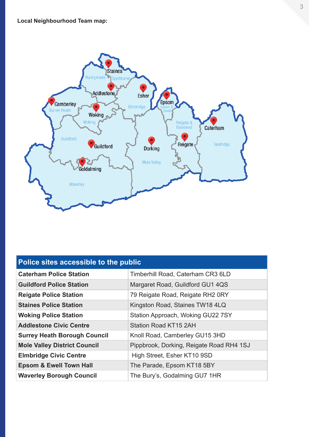

| Police sites accessible to the public |                                          |
|---------------------------------------|------------------------------------------|
| <b>Caterham Police Station</b>        | Timberhill Road, Caterham CR3 6LD        |
| <b>Guildford Police Station</b>       | Margaret Road, Guildford GU1 4QS         |
| <b>Reigate Police Station</b>         | 79 Reigate Road, Reigate RH2 0RY         |
| <b>Staines Police Station</b>         | Kingston Road, Staines TW18 4LQ          |
| <b>Woking Police Station</b>          | Station Approach, Woking GU22 7SY        |
| <b>Addlestone Civic Centre</b>        | <b>Station Road KT15 2AH</b>             |
| <b>Surrey Heath Borough Council</b>   | Knoll Road, Camberley GU15 3HD           |
| <b>Mole Valley District Council</b>   | Pippbrook, Dorking, Reigate Road RH4 1SJ |
| <b>Elmbridge Civic Centre</b>         | High Street, Esher KT10 9SD              |
| <b>Epsom &amp; Ewell Town Hall</b>    | The Parade, Epsom KT18 5BY               |
| <b>Waverley Borough Council</b>       | The Bury's, Godalming GU7 1HR            |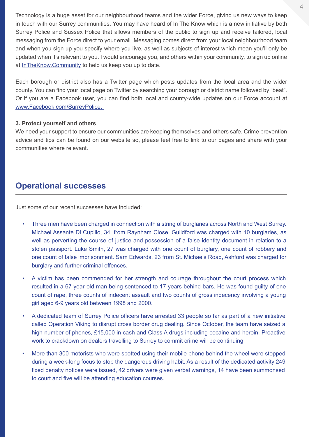Technology is a huge asset for our neighbourhood teams and the wider Force, giving us new ways to keep in touch with our Surrey communities. You may have heard of In The Know which is a new initiative by both Surrey Police and Sussex Police that allows members of the public to sign up and receive tailored, local messaging from the Force direct to your email. Messaging comes direct from your local neighbourhood team and when you sign up you specify where you live, as well as subjects of interest which mean you'll only be updated when it's relevant to you. I would encourage you, and others within your community, to sign up online at [InTheKnow.Community](http://InTheKnow.Community) to help us keep you up to date.

Each borough or district also has a Twitter page which posts updates from the local area and the wider county. You can find your local page on Twitter by searching your borough or district name followed by "beat". Or if you are a Facebook user, you can find both local and county-wide updates on our Force account at [www.Facebook.com/SurreyPolice.](http://www.Facebook.com/SurreyPolice. ) 

#### **3. Protect yourself and others**

We need your support to ensure our communities are keeping themselves and others safe. Crime prevention advice and tips can be found on our website so, please feel free to link to our pages and share with your communities where relevant.

### **Operational successes**

Just some of our recent successes have included:

- Three men have been charged in connection with a string of burglaries across North and West Surrey. Michael Assante Di Cupillo, 34, from Raynham Close, Guildford was charged with 10 burglaries, as well as perverting the course of justice and possession of a false identity document in relation to a stolen passport. Luke Smith, 27 was charged with one count of burglary, one count of robbery and one count of false imprisonment. Sam Edwards, 23 from St. Michaels Road, Ashford was charged for burglary and further criminal offences.
- A victim has been commended for her strength and courage throughout the court process which resulted in a 67-year-old man being sentenced to 17 years behind bars. He was found guilty of one count of rape, three counts of indecent assault and two counts of gross indecency involving a young girl aged 6-9 years old between 1998 and 2000.
- A dedicated team of Surrey Police officers have arrested 33 people so far as part of a new initiative called Operation Viking to disrupt cross border drug dealing. Since October, the team have seized a high number of phones, £15,000 in cash and Class A drugs including cocaine and heroin. Proactive work to crackdown on dealers travelling to Surrey to commit crime will be continuing.
- More than 300 motorists who were spotted using their mobile phone behind the wheel were stopped during a week-long focus to stop the dangerous driving habit. As a result of the dedicated activity 249 fixed penalty notices were issued, 42 drivers were given verbal warnings, 14 have been summonsed to court and five will be attending education courses.